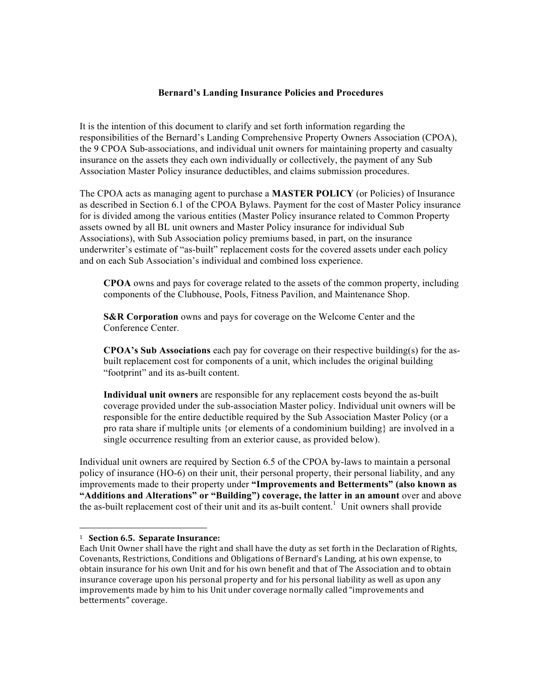## **Bernard's Landing Insurance Policies and Procedures**

It is the intention of this document to clarify and set forth information regarding the responsibilities of the Bernard's Landing Comprehensive Property Owners Association (CPOA), the 9 CPOA Sub-associations, and individual unit owners for maintaining property and casualty insurance on the assets they each own individually or collectively, the payment of any Sub Association Master Policy insurance deductibles, and claims submission procedures.

The CPOA acts as managing agent to purchase a **MASTER POLICY** (or Policies) of Insurance as described in Section 6.1 of the CPOA Bylaws. Payment for the cost of Master Policy insurance for is divided among the various entities (Master Policy insurance related to Common Property assets owned by all BL unit owners and Master Policy insurance for individual Sub Associations), with Sub Association policy premiums based, in part, on the insurance underwriter's estimate of "as-built" replacement costs for the covered assets under each policy and on each Sub Association's individual and combined loss experience.

**CPOA** owns and pays for coverage related to the assets of the common property, including components of the Clubhouse, Pools, Fitness Pavilion, and Maintenance Shop.

**S&R Corporation** owns and pays for coverage on the Welcome Center and the Conference Center.

**CPOA's Sub Associations** each pay for coverage on their respective building(s) for the asbuilt replacement cost for components of a unit, which includes the original building "footprint" and its as-built content.

**Individual unit owners** are responsible for any replacement costs beyond the as-built coverage provided under the sub-association Master policy. Individual unit owners will be responsible for the entire deductible required by the Sub Association Master Policy (or a pro rata share if multiple units {or elements of a condominium building} are involved in a single occurrence resulting from an exterior cause, as provided below).

Individual unit owners are required by Section 6.5 of the CPOA by-laws to maintain a personal policy of insurance (HO-6) on their unit, their personal property, their personal liability, and any improvements made to their property under **"Improvements and Betterments" (also known as "Additions and Alterations" or "Building") coverage, the latter in an amount** over and above the as-built replacement cost of their unit and its as-built content.<sup>1</sup> Unit owners shall provide

 <sup>1</sup> Section 6.5. Separate Insurance:

Each Unit Owner shall have the right and shall have the duty as set forth in the Declaration of Rights, Covenants, Restrictions, Conditions and Obligations of Bernard's Landing, at his own expense, to obtain insurance for his own Unit and for his own benefit and that of The Association and to obtain insurance coverage upon his personal property and for his personal liability as well as upon any improvements made by him to his Unit under coverage normally called "improvements and betterments" coverage.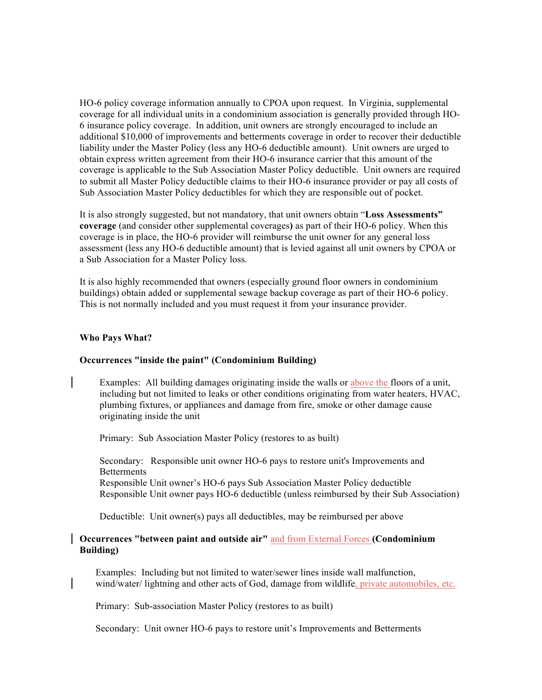HO-6 policy coverage information annually to CPOA upon request. In Virginia, supplemental coverage for all individual units in a condominium association is generally provided through HO-6 insurance policy coverage. In addition, unit owners are strongly encouraged to include an additional \$10,000 of improvements and betterments coverage in order to recover their deductible liability under the Master Policy (less any HO-6 deductible amount). Unit owners are urged to obtain express written agreement from their HO-6 insurance carrier that this amount of the coverage is applicable to the Sub Association Master Policy deductible. Unit owners are required to submit all Master Policy deductible claims to their HO-6 insurance provider or pay all costs of Sub Association Master Policy deductibles for which they are responsible out of pocket.

It is also strongly suggested, but not mandatory, that unit owners obtain "**Loss Assessments" coverage** (and consider other supplemental coverages**)** as part of their HO-6 policy. When this coverage is in place, the HO-6 provider will reimburse the unit owner for any general loss assessment (less any HO-6 deductible amount) that is levied against all unit owners by CPOA or a Sub Association for a Master Policy loss.

It is also highly recommended that owners (especially ground floor owners in condominium buildings) obtain added or supplemental sewage backup coverage as part of their HO-6 policy. This is not normally included and you must request it from your insurance provider.

#### **Who Pays What?**

### **Occurrences "inside the paint" (Condominium Building)**

Examples: All building damages originating inside the walls or above the floors of a unit, including but not limited to leaks or other conditions originating from water heaters, HVAC, plumbing fixtures, or appliances and damage from fire, smoke or other damage cause originating inside the unit

Primary: Sub Association Master Policy (restores to as built)

Secondary: Responsible unit owner HO-6 pays to restore unit's Improvements and **Betterments** Responsible Unit owner's HO-6 pays Sub Association Master Policy deductible Responsible Unit owner pays HO-6 deductible (unless reimbursed by their Sub Association)

Deductible: Unit owner(s) pays all deductibles, may be reimbursed per above

# **Occurrences "between paint and outside air"** and from External Forces **(Condominium Building)**

Examples: Including but not limited to water/sewer lines inside wall malfunction, wind/water/ lightning and other acts of God, damage from wildlife, private automobiles, etc.

Primary: Sub-association Master Policy (restores to as built)

Secondary: Unit owner HO-6 pays to restore unit's Improvements and Betterments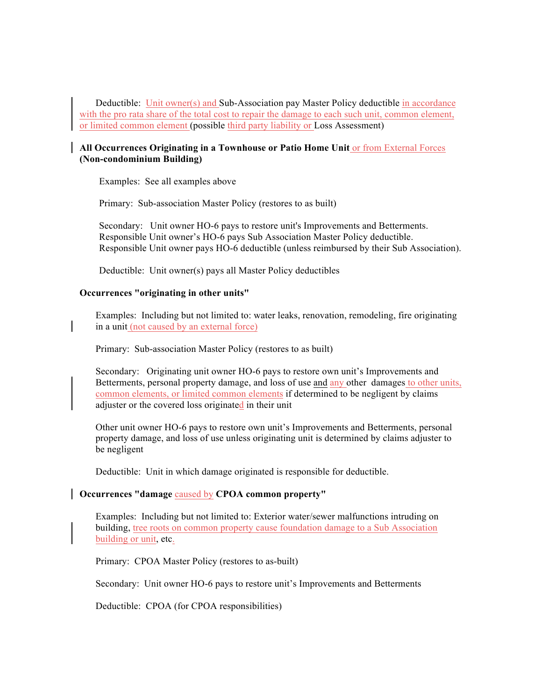Deductible: Unit owner(s) and Sub-Association pay Master Policy deductible in accordance with the pro rata share of the total cost to repair the damage to each such unit, common element, or limited common element (possible third party liability or Loss Assessment)

## **All Occurrences Originating in a Townhouse or Patio Home Unit** or from External Forces **(Non-condominium Building)**

Examples: See all examples above

Primary: Sub-association Master Policy (restores to as built)

 Secondary: Unit owner HO-6 pays to restore unit's Improvements and Betterments. Responsible Unit owner's HO-6 pays Sub Association Master Policy deductible. Responsible Unit owner pays HO-6 deductible (unless reimbursed by their Sub Association).

Deductible: Unit owner(s) pays all Master Policy deductibles

#### **Occurrences "originating in other units"**

Examples: Including but not limited to: water leaks, renovation, remodeling, fire originating in a unit (not caused by an external force)

Primary: Sub-association Master Policy (restores to as built)

Secondary: Originating unit owner HO-6 pays to restore own unit's Improvements and Betterments, personal property damage, and loss of use and any other damages to other units, common elements, or limited common elements if determined to be negligent by claims adjuster or the covered loss originated in their unit

Other unit owner HO-6 pays to restore own unit's Improvements and Betterments, personal property damage, and loss of use unless originating unit is determined by claims adjuster to be negligent

Deductible: Unit in which damage originated is responsible for deductible.

#### **Occurrences "damage** caused by **CPOA common property"**

Examples: Including but not limited to: Exterior water/sewer malfunctions intruding on building, tree roots on common property cause foundation damage to a Sub Association building or unit, etc.

Primary: CPOA Master Policy (restores to as-built)

Secondary: Unit owner HO-6 pays to restore unit's Improvements and Betterments

Deductible: CPOA (for CPOA responsibilities)